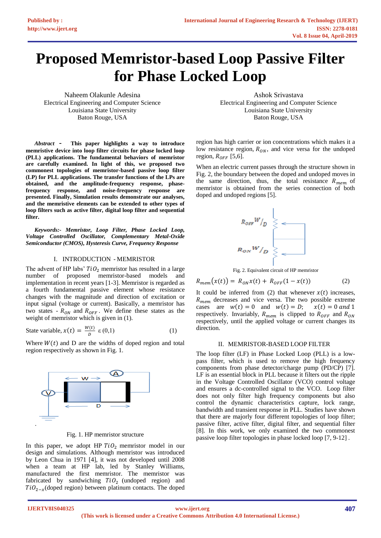# **Proposed Memristor-based Loop Passive Filter for Phase Locked Loop**

Naheem Olakunle Adesina Electrical Engineering and Computer Science Louisiana State University Baton Rouge, USA

*Abstract* **- This paper highlights a way to introduce memristive device into loop filter circuits for phase locked loop (PLL) applications. The fundamental behaviors of memristor are carefully examined. In light of this, we proposed two commonest topologies of memristor-based passive loop filter (LP) for PLL applications. The transfer functions of the LPs are obtained, and the amplitude-frequency response, phasefrequency response, and noise-frequency response are presented. Finally, Simulation results demonstrate our analyses, and the memristive elements can be extended to other types of loop filters such as active filter, digital loop filter and sequential filter.** 

*Keywords:- Memristor, Loop Filter, Phase Locked Loop, Voltage Controlled Oscillator, Complementary Metal-Oxide Semiconductor (CMOS), Hysteresis Curve, Frequency Response*

# I. INTRODUCTION - MEMRISTOR

The advent of HP labs'  $TiO<sub>2</sub>$  memristor has resulted in a large number of proposed memristor-based models and implementation in recent years [1-3]. Memristor is regarded as a fourth fundamental passive element whose resistance changes with the magnitude and direction of excitation or input signal (voltage or current). Basically, a memristor has two states -  $R_{ON}$  and  $R_{OFF}$ . We define these states as the weight of memristor which is given in (1).

State variable, 
$$
x(t) = \frac{W(t)}{D} \varepsilon(0,1)
$$
 (1)

Where  $W(t)$  and D are the widths of doped region and total region respectively as shown in Fig. 1.



## Fig. 1. HP memristor structure

In this paper, we adopt HP  $TiO<sub>2</sub>$  memristor model in our design and simulations. Although memristor was introduced by Leon Chua in 1971 [4], it was not developed until 2008 when a team at HP lab, led by Stanley Williams, manufactured the first memristor. The memristor was fabricated by sandwiching  $TiO<sub>2</sub>$  (undoped region) and  $TiO_{2-x}$ (doped region) between platinum contacts. The doped

Ashok Srivastava Electrical Engineering and Computer Science Louisiana State University Baton Rouge, USA

region has high carrier or ion concentrations which makes it a low resistance region,  $R_{ON}$ , and vice versa for the undoped region,  $R_{OFF}$  [5,6].

When an electric current passes through the structure shown in Fig. 2, the boundary between the doped and undoped moves in the same direction, thus, the total resistance  $R_{mem}$  of memristor is obtained from the series connection of both doped and undoped regions [5].



Fig. 2. Equivalent circuit of HP memristor

$$
R_{mem}(x(t)) = R_{ON}x(t) + R_{OFF}(1 - x(t))
$$
 (2)

It could be inferred from (2) that whenever  $x(t)$  increases,  $R_{mem}$  decreases and vice versa. The two possible extreme cases are  $w(t) = 0$  and  $w(t) = D$ ;  $x(t) = 0$  and 1 respectively. Invariably,  $R_{mem}$  is clipped to  $R_{OFF}$  and  $R_{ON}$ respectively, until the applied voltage or current changes its direction.

#### II. MEMRISTOR-BASED LOOP FILTER

The loop filter (LF) in Phase Locked Loop (PLL) is a lowpass filter, which is used to remove the high frequency components from phase detector/charge pump (PD/CP) [7]. LF is an essential block in PLL because it filters out the ripple in the Voltage Controlled Oscillator (VCO) control voltage and ensures a dc-controlled signal to the VCO. Loop filter does not only filter high frequency components but also control the dynamic characteristics capture, lock range, bandwidth and transient response in PLL. Studies have shown that there are majorly four different topologies of loop filter; passive filter, active filter, digital filter, and sequential filter [8]. In this work, we only examined the two commonest passive loop filter topologies in phase locked loop [7, 9-12] .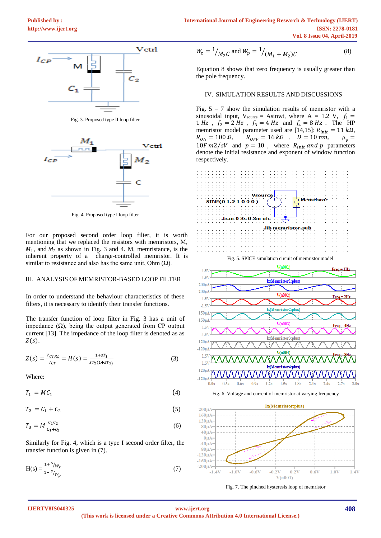

Fig. 3. Proposed type II loop filter



Fig. 4. Proposed type I loop filter

For our proposed second order loop filter, it is worth mentioning that we replaced the resistors with memristors, M,  $M_1$ , and  $M_2$  as shown in Fig. 3 and 4. M, memristance, is the inherent property of a charge-controlled memristor. It is similar to resistance and also has the same unit. Ohm  $(Ω)$ .

# III. ANALYSIS OF MEMRISTOR-BASED LOOP FILTER

In order to understand the behaviour characteristics of these filters, it is necessary to identify their transfer functions.

The transfer function of loop filter in Fig. 3 has a unit of impedance (Ω), being the output generated from CP output current [13]. The impedance of the loop filter is denoted as as  $Z(s)$ .

$$
Z(s) = \frac{V_{CTRL}}{I_{CP}} = H(s) = \frac{1 + sT_1}{sT_2(1 + sT_3)}
$$
(3)

Where:

 $T_1 = MC_1$ (4)

 $T_2 = C_1 + C_2$ (5)

$$
T_3 = M \frac{c_1 c_2}{c_1 + c_2} \tag{6}
$$

Similarly for Fig. 4, which is a type I second order filter, the transfer function is given in (7).

$$
H(s) = \frac{1 + s/\mathcal{W}_z}{1 + s/\mathcal{W}_p} \tag{7}
$$

$$
W_z = \frac{1}{M_2 C} \text{ and } W_p = \frac{1}{M_1 + M_2 C} \tag{8}
$$

Equation 8 shows that zero frequency is usually greater than the pole frequency.

## IV. SIMULATION RESULTS AND DISCUSSIONS

Fig.  $5 - 7$  show the simulation results of memristor with a sinusoidal input,  $V_{source} =$  Asinwt, where  $A = 1.2$  V,  $f_1 =$ 1 *Hz*,  $f_2 = 2 Hz$ ,  $f_3 = 4 Hz$  and  $f_4 = 8 Hz$ . The HP memristor model parameter used are [14,15]:  $R_{init} = 11 k\Omega$ ,<br>  $R_{ON} = 100 \Omega$ ,  $R_{OFF} = 16 k\Omega$ ,  $D = 10 nm$ ,  $\mu_{n} =$  $R_{OFF} = 16 k\Omega$ ,  $D = 10 nm$ ,  $10F \, m2/sV$  and  $p = 10$ , where  $R_{init}$  and p parameters denote the initial resistance and exponent of window function respectively.





Fig. 7. The pinched hysteresis loop of memristor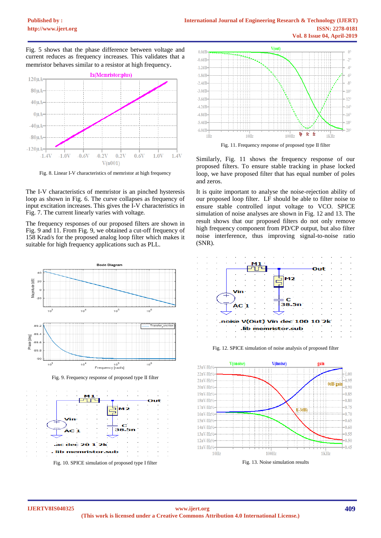Fig. 5 shows that the phase difference between voltage and current reduces as frequency increases. This validates that a memristor behaves similar to a resistor at high frequency.



Fig. 8. Linear I-V characteristics of memristor at high frequency

The I-V characteristics of memristor is an pinched hysteresis loop as shown in Fig. 6. The curve collapses as frequency of input excitation increases. This gives the I-V characteristics in Fig. 7. The current linearly varies with voltage.

The frequency responses of our proposed filters are shown in Fig. 9 and 11. From Fig. 9, we obtained a cut-off frequency of 158 Krad/s for the proposed analog loop filter which makes it suitable for high frequency applications such as PLL.



dec 20 1 2k lib memristor. Fig. 10. SPICE simulation of proposed type I filter



Fig. 11. Frequency response of proposed type II filter

Similarly, Fig. 11 shows the frequency response of our proposed filters. To ensure stable tracking in phase locked loop, we have proposed filter that has equal number of poles and zeros.

It is quite important to analyse the noise-rejection ability of our proposed loop filter. LF should be able to filter noise to ensure stable controlled input voltage to VCO. SPICE simulation of noise analyses are shown in Fig. 12 and 13. The result shows that our proposed filters do not only remove high frequency component from PD/CP output, but also filter noise interference, thus improving signal-to-noise ratio (SNR).



Fig. 12. SPICE simulation of noise analysis of proposed filter



Fig. 13. Noise simulation results